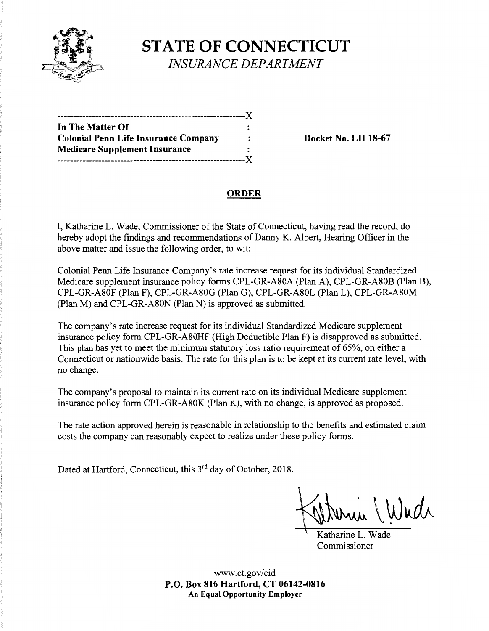

**STATE OF CONNECTICUT**  *INSURANCE DEPARTMENT* 

| In The Matter Of                            |  |
|---------------------------------------------|--|
| <b>Colonial Penn Life Insurance Company</b> |  |
| <b>Medicare Supplement Insurance</b>        |  |
| --------------------------------------Y     |  |

**Docket No. LH 18-67** 

# **ORDER**

I, Katharine L. Wade, Commissioner of the State of Connecticut, having read the record, do hereby adopt the findings and recommendations of Danny K. Albert, Hearing Officer in the above matter and issue the following order, to wit:

Colonial Penn Life Insurance Company's rate increase request for its individual Standardized Medicare supplement insurance policy forms CPL-GR-A80A (Plan A), CPL-GR-A80B (Plan B), CPL-GR-A80F (Plan F), CPL-GR-A80G (Plan G), CPL-GR-A80L (Plan L), CPL-GR-A80M (Plan M) and CPL-GR-A80N (Plan N) is approved as submitted.

The company's rate increase request for its individual Standardized Medicare supplement insurance policy form CPL-GR-A80HF (High Deductible Plan F) is disapproved as submitted. This plan has yet to meet the minimum statutory loss ratio requirement of 65%, on either a Connecticut or nationwide basis. The rate for this plan is to be kept at its current rate level, with no change.

The company's proposal to maintain its current rate on its individual Medicare supplement insurance policy form CPL-GR-A80K (Plan K), with no change, is approved as proposed.

The rate action approved herein is reasonable in relationship to the benefits and estimated claim costs the company can reasonably expect to realize under these policy forms.

Dated at Hartford, Connecticut, this 3<sup>rd</sup> day of October, 2018.

Wudr

Katharine L. Wade Commissioner

www.ct.gov/cid **P.O. Box 816 Hartford, CT 06142-0816 An Equal Opportunity Employer**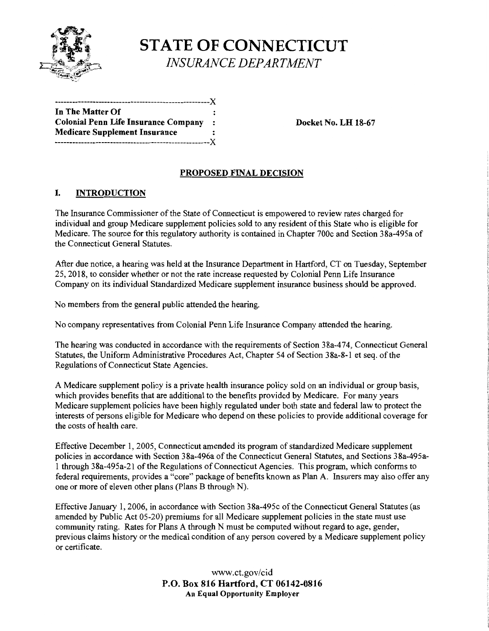

**STATE OF CONNECTICUT**  *INSURANCE DEPARTMENT* 

------------------------------**In The Matter Of Colonial Penn Life Insurance Company** : **Docket No. LH 18-67 Medicare Supplement Insurance**  -----------------------------------------------------)(

## **PROPOSED FINAL DECISION**

## I. **INTRODUCTION**

The Insurance Commissioner of the State of Connecticut is empowered to review rates charged for individual and group Medicare supplement policies sold to any resident of this State who is eligible for Medicare. The source for this regulatory authority is contained in Chapter 700c and Section 38a-495a of the Connecticut General Statutes.

After due notice, a hearing was held at the Insurance Department in Hartford, CT on Tuesday, September 25, 2018, to consider whether or not the rate increase requested by Colonial Penn Life Insurance Company on its individual Standardized Medicare supplement insurance business should be approved.

No members from the general public attended the hearing.

No company representatives from Colonial Penn Life Insurance Company attended the hearing.

The hearing was conducted in accordance with the requirements of Section 38a-474, Connecticut General Statutes, the Uniform Administrative Procedures Act, Chapter 54 of Section 38a-8-1 et seq. of the Regulations of Connecticut State Agencies.

A Medicare supplement policy is a private health insurance policy sold on an individual or group basis, which provides benefits that are additional to the benefits provided by Medicare. For many years Medicare supplement policies have been highly regulated under both state and federal law to protect the interests of persons eligible for Medicare who depend on these policies to provide additional coverage for the costs of health care.

Effective December 1, 2005, Connecticut amended its program of standardized Medicare supplement policies in accordance with Section 38a-496a of the Connecticut General Statutes, and Sections 38a-495a-1 through 38a-495a-21 of the Regulations of Connecticut Agencies. This program, which conforms to federal requirements, provides a "core" package of benefits known as Plan A. Insurers may also offer any one or more of eleven other plans (Plans B through N).

Effective January 1, 2006, in accordance with Section 38a-495c of the Connecticut General Statutes (as amended by Public Act 05-20) premiums for all Medicare supplement policies in the state must use community rating. Rates for Plans A through N must be computed without regard to age, gender, previous claims history or the medical condition of any person covered by a Medicare supplement policy or certificate.

> www.ct.gov/cid **P.O. Box 816 Hartford, CT 06142-0816 An Equal Opportunity Employer**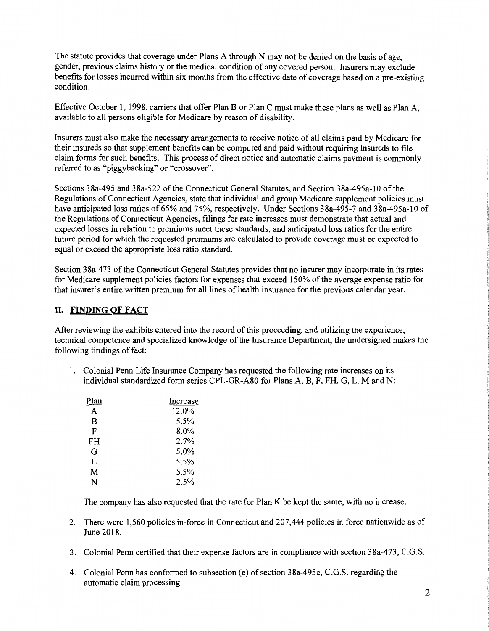The statute provides that coverage under Plans A through N may not be denied on the basis of age, gender, previous claims history or the medical condition of any covered person. Insurers may exclude benefits for losses incurred within six months from the effective date of coverage based on a pre-existing condition.

Effective October 1, 1998, carriers that offer Plan B or Plan C must make these plans as well as Plan A, available to all persons eligible for Medicare by reason of disability.

Insurers must also make the necessary arrangements to receive notice of all claims paid by Medicare for their insureds so that supplement benefits can be computed and paid without requiring insureds to file claim forms for such benefits. This process of direct notice and automatic claims payment is commonly referred to as "piggybacking" or "crossover".

Sections 38a-495 and 38a-522 of the Connecticut General Statutes, and Section 38a-495a-10 of the Regulations of Connecticut Agencies, state that individual and group Medicare supplement policies must have anticipated loss ratios of 65% and 75%, respectively. Under Sections 38a-495-7 and 38a-495a-10 of the Regulations of Connecticut Agencies, filings for rate increases must demonstrate that actual and expected losses in relation to premiums meet these standards, and anticipated loss ratios for the entire future period for which the requested premiums are calculated to provide coverage must be expected to equal or exceed the appropriate loss ratio standard.

Section 38a-473 of the Connecticut General Statutes provides that no insurer may incorporate in its rates for Medicare supplement policies factors for expenses that exceed 150% of the average expense ratio for that insurer's entire written premium for all lines of health insurance for the previous calendar year.

#### II. **FINDING OF FACT**

After reviewing the exhibits entered into the record ofthis proceeding, and utilizing the experience, technical competence and specialized knowledge of the Insurance Department, the undersigned makes the following findings of fact:

1. Colonial Penn Life Insurance Company has requested the following rate increases on its individual standardized form series CPL-GR-A80 for Plans A, B, F, FH, G, L, Mand N:

| Increase |
|----------|
| 12.0%    |
| 5.5%     |
| 8.0%     |
| 2.7%     |
| $5.0\%$  |
| 5.5%     |
| 5.5%     |
| 2.5%     |
|          |

The company has also requested that the rate for Plan K be kept the same, with no increase.

- 2. There were 1,560 policies in-force in Connecticut and 207,444 policies in force nationwide as of June 2018.
- 3. Colonial Penn certified that their expense factors are in compliance with section 38a-473, C.G.S.
- 4. Colonial Penn has conformed to subsection (e) of section 38a-495c, C.G.S. regarding the automatic claim processing.